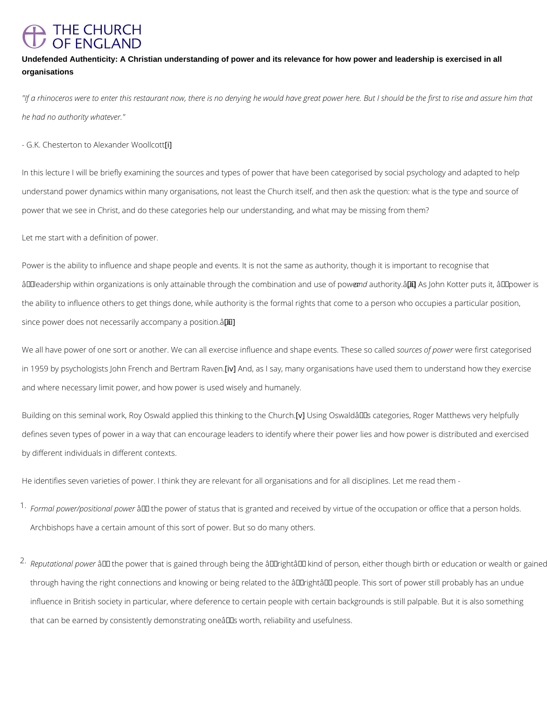# **THE CHURCH** OF ENGLAND

Undefended Authenticity: A Christian understanding of power and its relevance for how power and leadership is exercised in all organisations

"If a rhinoceros were to enter this restaurant now, there is no denying he would have great p he had no authority whatever."

- G.K. Chesterton to Alexander Woollcott

In this lecture I will be briefly examining the sources and types of power that have been cate understand power dynamics within many organisations, not least the Church itself, and then power that we see in Christ, and do these categories help our understanding, and what may b

Let me start with a definition of power.

Power is the ability to influence and shape people and events. It is not the same as authorit â€celeadership within organizations is only attainable throuagnhdatohtehoco[min)\$Aiâns€aohtoionn aKnoditersepooffspiot the ability to influence others to get things done, while authority is the formal rights that co since power does not necessarily accompany a position.  $\hat{a} \in \bullet$ 

We all have power of one sort or another. We can all exercise influseonuore exand fsuphene were fierwathed ately in 1959 by psychologists John Frenc『hiva Anndd Beastriasma  $\Re$ , a meam.y organisations have used them to u and where necessary limit power, and how power is used wisely and humanely.

Building on this seminal work, Roy Oswald appli**e of IU**hsiisn **ghOnskwing dâo€ ™hse cahtegoohries**, Roger Matt defines seven types of power in a way that can encourage leaders to identify where their pov by different individuals in different contexts.

He identifies seven varieties of power. I think they are relevant for all organisations and for

 $1\cdot$  Formal power/positi $\hat{\bm{x}}$   $\hat{\bm{\epsilon}}$  althe power of status that is granted and received by virtue of the occ Archbishops have a certain amount of this sort of power. But so do many others.

 $^{2}\cdot$ Reputationalâæd we power that is gained through being the  $\hat{\mathbf{a}} \in \tilde{\mathbf{a}}$  and  $\mathbf{b}$  and of person, eit

through having the right connections and knowing or being related to the  $\hat{a} \in \tilde{a}$ right $\hat{a} \in \tilde{a}$  peop

influence in British society in particular, where deference to certain people with certain ba

that can be earned by consistently demonstrating one's worth, reliability and usefulness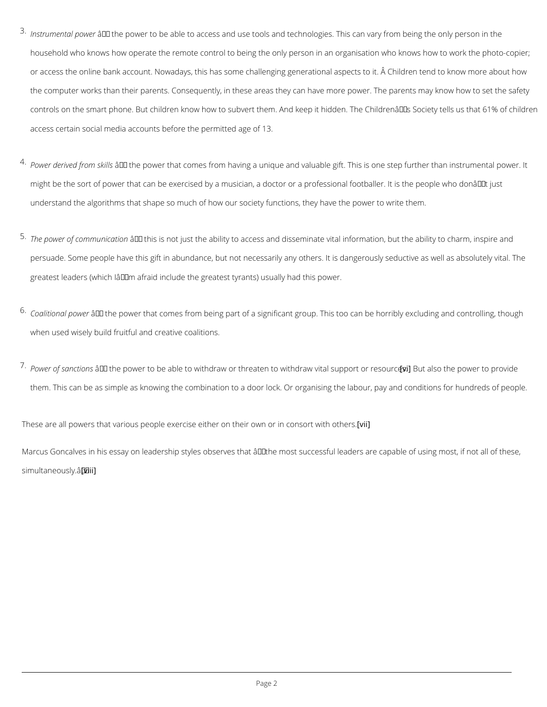- $^3$  Instrumental aped with e power to be able to access and use tools and technologies. This can va household who knows how operate the remote control to being the only person in an organis or access the online bank account. Nowadays, this has some challenging generational aspe the computer works than their parents. Consequently, in these areas they can have more po controls on the smart phone. But children know how to subvert them. And keep it hidden. The Control access certain social media accounts before the permitted age of 13.
- $^{4}$  Power derived f $\hat{a}$   $\text{E}$ th tshkeilpsower that comes from having a unique and valuable gift. This is on might be the sort of power that can be exercised by a musician, a doctor or a professional understand the algorithms that shape so much of how our society functions, they have the power to write them.
- $^{\text{5}}\cdot$ The power of commâten it altsoms not just the ability to access and disseminate vital information persuade. Some people have this gift in abundance, but not necessarily any others. It is da greatest leaders (which  $l$ â $\in$ ™m afraid include the greatest tyrants) usually had this power.
- $^6$  Coalitional  $\hat{\boldsymbol{\hat{w}}}$  wehe power that comes from being part of a significant group. This too can be when used wisely build fruitful and creative coalitions.
- $^{7}$  Power of sanâo€t"iotnhse power to be able to withdraw or threaten to wi[tvhio]Bruatwavisibalthseupppownetrotrorp them. This can be as simple as knowing the combination to a door lock. Or organising the I

These are all powers that various people exercise either on [ whid ir own or in consort with othe Marcus Goncalves in his essay on leadership styles observes that  $\hat{a} \in \infty$ the most successful le simultaneo [wsiliy].  $\hat{a} \in \bullet$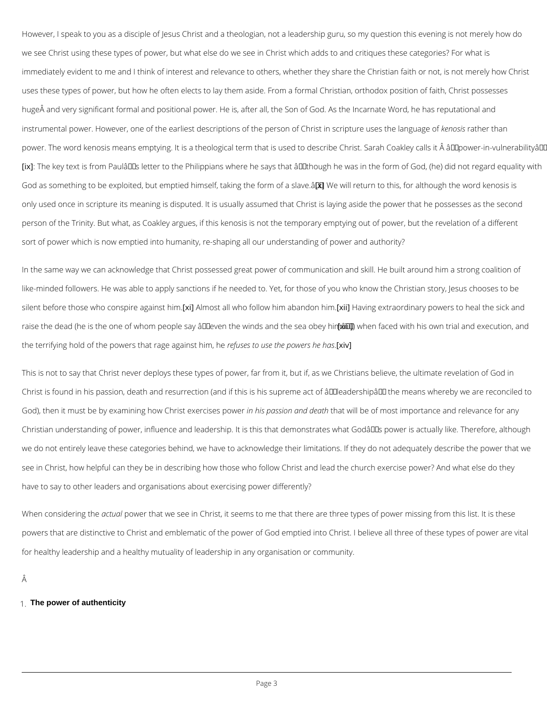However, I speak to you as a disciple of Jesus Christ and a theologian, not a leadership guri we see Christ using these types of power, but what else do we see in Christ which adds to and immediately evident to me and I think of interest and relevance to others, whether they share uses these types of power, but how he often elects to lay them aside. From a formal Christia huge A and very significant formal and positional power. He is, after all, the Son of God. As instrumental power. However, one of the earliest descriptions of the perso**hemio Ciasthet ith ancripture** power. The word kenosis means emptying. It is a theological term that is used to describe Ch [ix] The key text is from Paulâ $\epsilon \tau$ Ms letter to the Philippians where he says that  $\hat{a} \epsilon \in \epsilon$  though he God as something to be exploited, but emptied hims $\mathcal{E}$   $k$ f],Wteakwinig ntehteurfnortmo bhfia, sfloarvea.l $\mathbf{\hat{a}}$ HEorugh the only used once in scripture its meaning is disputed. It is usually assumed that Christ is layin person of the Trinity. But what, as Coakley argues, if this kenosis is not the temporary empt sort of power which is now emptied into humanity, re-shaping all our understanding of power

In the same way we can acknowledge that Christ possessed great power of communication an like-minded followers. He was able to apply sanctions if he needed to. Yet, for those of you silent before those who conspxir]Allangoasitnatlhwinho follow him[xaild]Haanvol**og b**ixntn.aordinary powers to he raise the dead (he is the one of whom people say "ev[exmi)it]hvehewninfelseadnowitthhe his ea worbety ibelmaân€ the terrifying hold of the powers tha**refagseesagiouse hthee**, **phose**weigrs he has

This is not to say that Christ never deploys these types of power, far from it, but if, as we C Christ is found in his passion, death and resurrection (and if this is his supreme act of  $\hat{a} \in \tilde{a}$  to God), then it must be by examining how iChhist peaxses ricoins eats in post importance and re Christian understanding of power, influence and leadership. It is this that demonstrates what we do not entirely leave these categories behind, we have to acknowledge their limitations. I see in Christ, how helpful can they be in describing how those who follow Christ and lead the have to say to other leaders and organisations about exercising power differently?

When consideranc gumphewer that we see in Christ, it seems to me that there are three types of power mission fr

powers that are distinctive to Christ and emblematic of the power of God emptied into Christ

for healthy leadership and a healthy mutuality of leadership in any organisation or communit

1.The power of authenticity

Â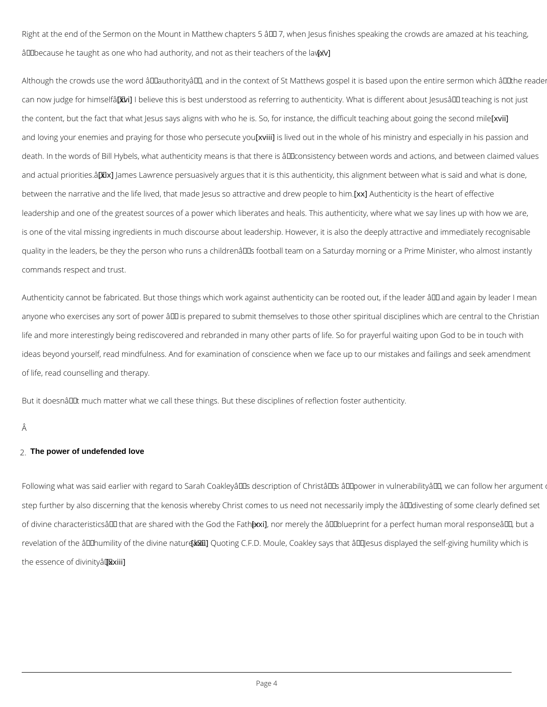Right at the end of the Sermon on the Mount in Matthew chapters 5  $\hat{a} \in 7$ , when Jesus finishe  $\hat{a} \in \hat{\infty}$  because he taught as one who had authority, and xnot as their teachers of the law."

Although the crowds use the word  $\hat{\mathbf{a}} \in \tilde{\mathbb{C}}$  authority $\hat{\mathbf{a}} \in \mathbb{M}$ , and in the context of St Matthews gospel can now judge fo $\mathfrak f$ xhimh beliê  $\epsilon$ e this is best understood as referring to authenticity. What is dif the content, but the fact that what Jesus says aligns with who he is. So, for instand wyithe dif and loving your enemies and praying for thososie sight who persecute the whole of his ministry and especially death. In the words of Bill Hybels, what authenticity means is that there is  $\hat{\mathsf{a}} \in \mathsf{ceconsistency}$   $\mathsf{k}$ and actual pri*[o*xnix**Jas**nê∉Lawrence persuasively argues that it is this authenticity, this alignm between the narrative and the life lived, that made Jesus sox a Auturahce inveicathy districh we phecapite of oe him leadership and one of the greatest sources of a power which liberates and heals. This auther is one of the vital missing ingredients in much discourse about leadership. However, it is als quality in the leaders, be they the person who runs a children's football team on a Saturd commands respect and trust.

Authenticity cannot be fabricated. But those things which work against authenticity can be ro anyone who exercises any sort of power  $\hat{a} \in$  is prepared to submit themselves to those other life and more interestingly being rediscovered and rebranded in many other parts of life. So ideas beyond yourself, read mindfulness. And for examination of conscience when we face up of life, read counselling and therapy.

But it doesn $\hat{a} \in \mathbb{M}$ t much matter what we call these things. But these disciplines of reflection for

Â

# 2.The power of undefended love

Following what was said earlier with regard to Sarah Coakley's description of Christ's step further by also discerning that the kenosis whereby Christ comes to us need not necess of divine characteristics― that are shar[exel;])mioth mheereGlyodhteheâ€ætbhleune print for a perfect humal

revelation of the "humility [oxfxthQuodtiming eCnFatDureManEtel, Coakley says that "Jesus display

the essence of  $[$ dixiiin  $]$ ty  $\hat{a} \in \bullet$ .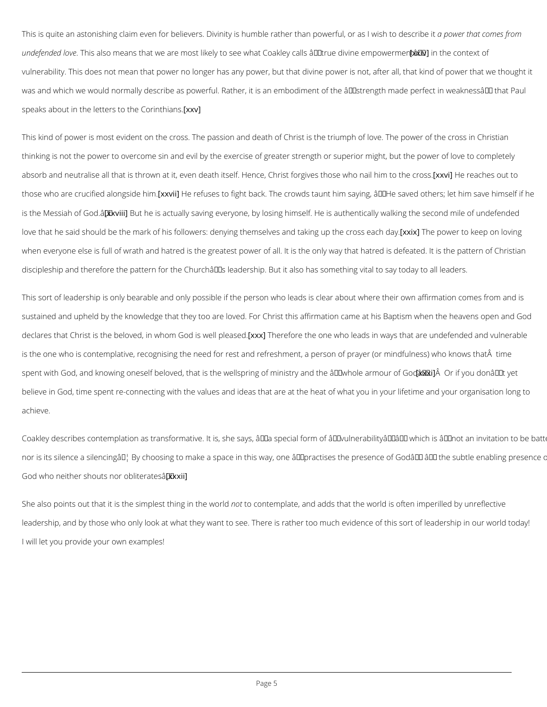This is quite an astonishing claim even for believers. Divinity is humble rather we mat mapto woemfaus undefended Thoiwse also means that we are most likely to see what Coak [exxioi]alltsh a Econtext doifvine vulnerability. This does not mean that power no longer has any power, but that divine power was and which we would normally describe as powerful. Rather, it is an embodiment of the  $\hat{a}$ <sup>+</sup> speaks about in the letters  $t\phi$ xthe Corinthians.

This kind of power is most evident on the cross. The passion and death of Christ is the trium thinking is not the power to overcome sin and evil by the exercise of greater strength or sup absorb and neutralise all that is thrown at it, even death itself. Hence, Change in the same and the cross those who are crucified  $\alpha$  along  $\beta$  and  $\beta$  and  $\alpha$  fight back. The crowds taunt him saying,  $\hat{a} \in \alpha$  He s is the Messiah  $\alpha$ k $G$   $B$  $d$ utâ $\varepsilon$ e is actually saving everyone, by losing himself. He is authentically love that he said should be the mark of his followers: denying the m[sxexliw of beap of wtakitrog kuepe pthoen when everyone else is full of wrath and hatred is the greatest power of all. It is the only way discipleship and therefore the pattern for the Churchâ $\in$   $\mathbb{T}^M$ s leadership. But it also has someth

This sort of leadership is only bearable and only possible if the person who leads is clear at sustained and upheld by the knowledge that they too are loved. For Christ this affirmation ca declares that Christ is the beloved, in who entity the deforme the order and are who leads in ways that are und is the one who is contemplative, recognising the need for rest and refreshment, a person of spent with God, and knowing oneself beloved, that is the wellspring of xmxixÂlsOrry ianyobutholo âter believe in God, time spent re-connecting with the values and ideas that are at the heat of wh achieve.

Coakley describes contemplation as transformative. It is, she says,  $\hat{a} \in \infty$  a special form of  $\hat{a} \in \hat{a}$ nor is its silence a silencing… By choosing to make a space in this way, one â€~practises t God who neither shouts n $\phi x$  xoxbilterates  $\hat{a} \in \bullet$ 

She also points out that it is the simpolets to thing miplante, ward dadds that the world is often imperilled by unreflective models and and and and and and and and and in the world is often imperilled by unreflective mode leadership, and by those who only look at what they want to see. There is rather too much ev

I will let you provide your own examples!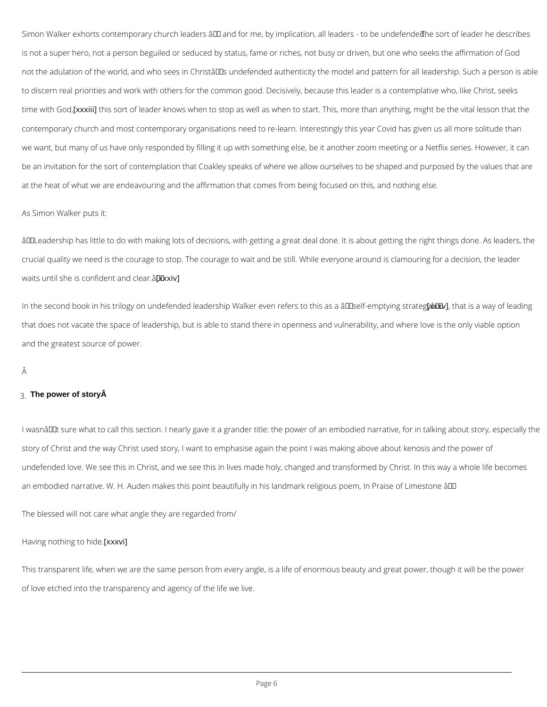In the second book in his trilogy on undefended leadership Walker even [nexfxew]shtad ibia awsa ya oâf that does not vacate the space of leadership, but is able to stand there in openness and vulr and the greatest source of power.

#### Â

# 3. The power of story  $\hat{A}$

I wasn $\hat{a} \in \text{TM}$  t sure what to call this section. I nearly gave it a grander title: the power of an em story of Christ and the way Christ used story, I want to emphasise again the point I was mak undefended love. We see this in Christ, and we see this in lives made holy, changed and tran an embodied narrative. W. H. Auden makes this point beautifully in his landmark religious po

Simon Walker eoah bertmsporary church leaders – and for me, by implicati bline as burt eoafd beradet ohbe is not a super hero, not a person beguiled or seduced by status, fame or riches, not busy or not the adulation of the world, and who sees in Christâ $\in$   $\mathbb {M}$ s undefended authenticity the mode to discern real priorities and work with others for the common good. Decisively, because this time with [Exxximusiviti] is sort of leader knows when to stop as well as when to start. This, more tha contemporary church and most contemporary organisations need to re-learn. Interestingly thi we want, but many of us have only responded by filling it up with something else, be it anoth be an invitation for the sort of contemplation that Coakley speaks of where we allow ourselve at the heat of what we are endeavouring and the affirmation that comes from being focused o

# As Simon Walker puts it:

 $\hat{a} \in \infty$  Leadership has little to do with making lots of decisions, with getting a great deal done. crucial quality we need is the courage to stop. The courage to wait and be still. While everyo waits until she is confid $[exntxi]$ d clear. $\hat{a} \in \bullet$ 

The blessed will not care what angle they are regarded from/

Having nothing [ x ox x vide.

This transparent life, when we are the same person from every angle, is a life of enormous b

of love etched into the transparency and agency of the life we live.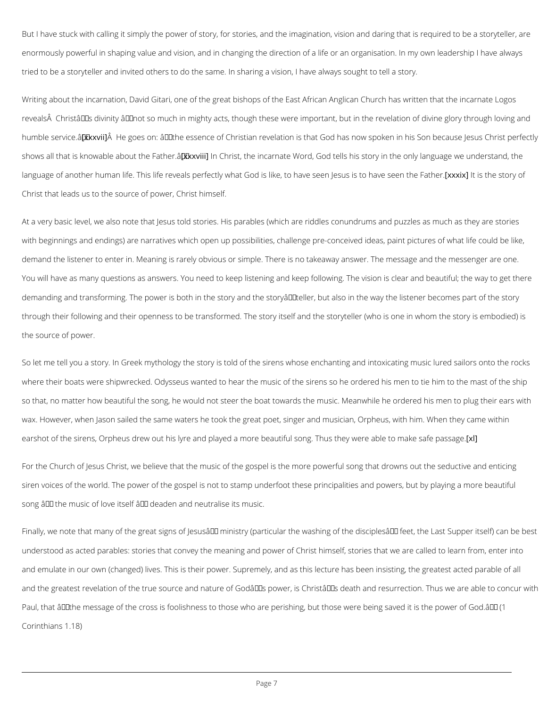But I have stuck with calling it simply the power of story, for stories, and the imagination, v enormously powerful in shaping value and vision, and in changing the direction of a life or a tried to be a storyteller and invited others to do the same. In sharing a vision, I have always

Writing about the incarnation, David Gitari, one of the great bishops of the East African Ang reveals $\hat A$  Christâ $\in$ ™s divinity  $\hat a$   $\in$  œnot so much in mighty acts, though these were important, humble ser[wixxev4 ûi€He goes on: "the essence of Christian revelation is that God has now sp shows all that is knowable aboount the Ghantinset, the incarnate Word, God tells his story in the on language of another human life. This life reveals perfectly what God is like, x to it the seen the Christ that leads us to the source of power, Christ himself.

At a very basic level, we also note that Jesus told stories. His parables (which are riddles c with beginnings and endings) are narratives which open up possibilities, challenge pre-conce demand the listener to enter in. Meaning is rarely obvious or simple. There is no takeaway a You will have as many questions as answers. You need to keep listening and keep following. demanding and transforming. The power is both in the story and the storyâ $\epsilon$  "teller, but also through their following and their openness to be transformed. The story itself and the story te the source of power.

So let me tell you a story. In Greek mythology the story is told of the sirens whose enchanting where their boats were shipwrecked. Odysseus wanted to hear the music of the sirens so he so that, no matter how beautiful the song, he would not steer the boat towards the music. Me wax. However, when Jason sailed the same waters he took the great poet, singer and musicia earshot of the sirens, Orpheus drew out his lyre and played a more beautiful song. Thus they

For the Church of Jesus Christ, we believe that the music of the gospel is the more powerful siren voices of the world. The power of the gospel is not to stamp underfoot these principality song  $\hat{a} \in$  " the music of love itself  $\hat{a} \in$  " deaden and neutralise its music.

Finally, we note that many of the great signs of Jesus $\hat{\mathbf{a}} \in \mathbb{M}$  ministry (particular the washing o

understood as acted parables: stories that convey the meaning and power of Christ himself,

and emulate in our own (changed) lives. This is their power. Supremely, and as this lecture I

and the greatest revelation of the true source and nature of Godâ $\in$  TMs power, is Christâ $\in$  TMs

Paul, that  $\hat{a} \in \text{ce}$  the message of the cross is foolishness to those who are perishing, but those

Corinthians 1.18)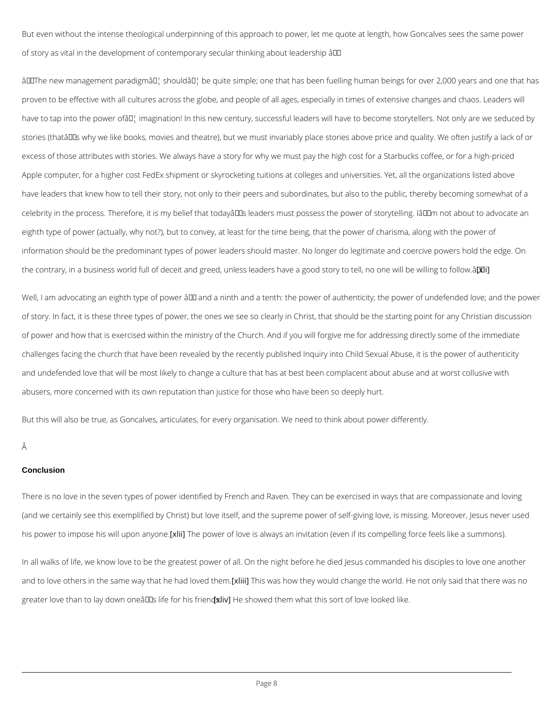But even without the intense theological underpinning of this approach to power, let me quot of story as vital in the development of contemporary secular thinking about leadership â $\bm{\epsilon}^*$ 

 $\hat{a} \in \infty$ The new management paradigmå $\in$ ¦ shouldå $\in$ ¦ be quite simple; one that has been fuelling proven to be effective with all cultures across the globe, and people of all ages, especially i have to tap into the power of  $\hat{\epsilon}$  imagination! In this new century, successful leaders will have stories (that's why we like books, movies and theatre), but we must invariably place stori excess of those attributes with stories. We always have a story for why we must pay the high Apple computer, for a higher cost FedEx shipment or skyrocketing tuitions at colleges and ur have leaders that knew how to tell their story, not only to their peers and subordinates, but celebrity in the process. Therefore, it is my belief that today  $\hat{a} \in \text{TM}$ s leaders must possess the eighth type of power (actually, why not?), but to convey, at least for the time being, that the information should be the predominant types of power leaders should master. No longer do le the contrary, in a business world full of deceit and greed, unless leaders have a [g biod story

Well, I am advocating an eighth type of power  $\hat{a} \in \hat{m}$  and a ninth and a tenth: the power of auth of story. In fact, it is these three types of power, the ones we see so clearly in Christ, that of power and how that is exercised within the ministry of the Church. And if you will forgive challenges facing the church that have been revealed by the recently published Inquiry into and undefended love that will be most likely to change a culture that has at best been compl abusers, more concerned with its own reputation than justice for those who have been so dee

But this will also be true, as Goncalves, articulates, for every organisation. We need to thin

Â

# **Conclusion**

There is no love in the seven types of power identified by French and Raven. They can be ex (and we certainly see this exemplified by Christ) but love itself, and the supreme power of self-

his power to impose his will klum and power eof love is always an invitation (even if its compellin

In all walks of life, we know love to be the greatest power of all. On the night before he died

and to love others in the same way th[axtlihīne]hhsadwans vheod with heny would change the world. He not c

greater love than to lay down one  $\tilde{a} \in \mathbb{TM}$  dife of whe difference what this sort of love looked like.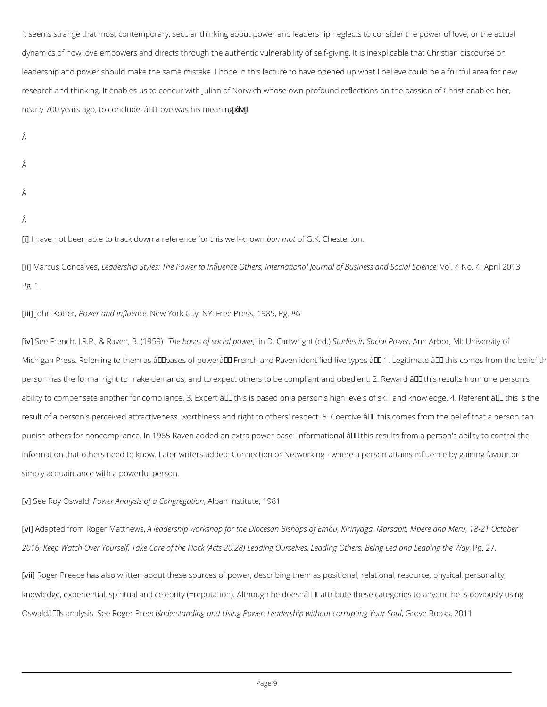It seems strange that most contemporary, secular thinking about power and leadership neglee dynamics of how love empowers and directs through the authentic vulnerability of self-giving leadership and power should make the same mistake. I hope in this lecture to have opened u research and thinking. It enables us to concur with Julian of Norwich whose own profound ref nearly 700 years ago, to conclude: â€oellyove was his meaning.―

Â

Â

- Â
- Â

[i]I have not been able to track down a refeb $\epsilon$ om enofor Gt.hKis Cwheels-thenrown a

[ii]Marcus Gon $\tt t$ ælavdeesr,ship Styles: The Power to Influence Others, International Jounnal 4 of A Power , Appiness and Science , Science , Science , Vol. 1 Auntonal 4 of A Power , Vol. 2013 Appines , Vol. 2013 Appiness Pg. 1.

[iii]John KoPtbewrer and InfNueewncYeork City, NY: Free Press, 1985, Pg. 86.

[iv]See French, J.R.P., & RTakwenb, aBses(1o9f59).  $\phi$  cimal Dpo Covaernt, wrigShtud(ieeds.) in SocAinah PAcrober, MI: Universi Michigan Press. Referring to them as â€~bases of power' French and Raven identified fiv person has the formal right to make demands, and to expect others to be compliant and obed ability to compensate another for compliance. 3. Expert  $\hat{a} \in 4$  this is based on a person's high result of a person's perceived attractiveness, worthiness and right to others' respect. 5. Coe punish others for noncompliance. In 1965 Raven added an extra power base: Informational â information that others need to know. Later writers added: Connection or Networking - where simply acquaintance with a powerful person.

[v] See Roy O B www. book, A nalysis of a, CA olnogame glast to trute, 1981

[vi]Adapted from Roger AM lætat de wsship workshop for the Diocesan Bishops of Embu, Kirinyaga, M

2016, Keep Watch Over Yourself, Take Care of the Flock (Acts 20.28) Leading QuPs el 27. Lea

[viiRoger Preece has also written about these sources of power, describing them as positional

knowledge, experiential, spiritual and celebrity (=reputation). Although he doesnâ $\epsilon^{tm}$ t attribute het doesning to any obviously using the isotopic metallisty using the isotopic metallisty of the isotopic metallisty usi

Oswald's analysis. SUenedkanogteam dPimege caen,d Using Power: Leadership, wGithoret Boooorkspt2l0g1Your '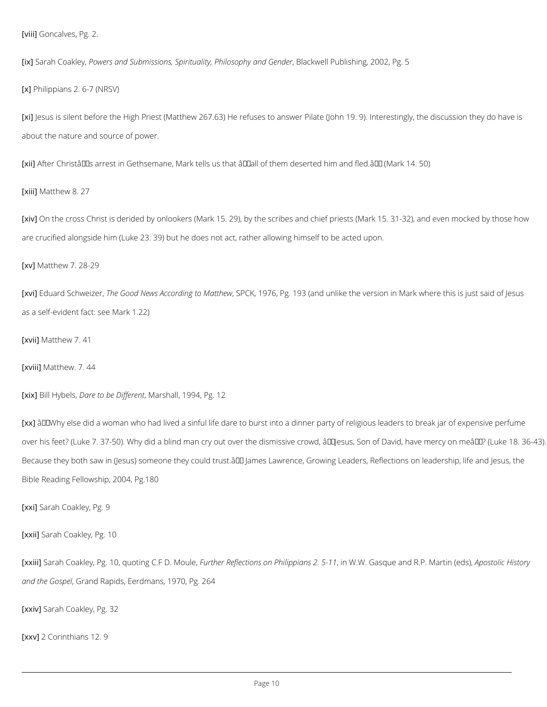$[viii]$  oncalves,  $Pg$ . 2.

[ix]Sarah Co&Plolwegy;s and Submissions, Spirituality, BPP  $\dot{a}$  cllowsoelph Pyuatonics hGiengde2r002, Pg. 5

[x] Philippians 2. 6-7 (NRSV)

[xi] esus is silent before the High Priest (Matthew 267.63) He refuses to answer Pilate (John about the nature and source of power.

[xiiAfter Christ's arrest in Gethsemane, Mark tells us that "all of them deserted him a

[xiiiMatthew 8. 27

[xiv $\mathsf{p}$ n the cross Christ is derided by onlookers (Mark 15. 29), by the scribes and chief priest are crucified alongside him (Luke 23. 39) but he does not act, rather allowing himself to be a

 $\left[x\vee\left>{\tt M\atop\!}\right]$  atthew 7. 28-29

[xvi]Eduard SchweiezeGrood News Accord, nSgPtOoKMat9t7h&,wPg. 193 (and unlike the version in Mark w as a self-evident fact: see Mark 1.22)

 $\left[ x \vee i \right]$  atthew 7.41

 $\left[ x \vee i i M \right]$  atthew. 7. 44

 $\lceil x \rceil$  ill Hy Dealrse, to be Differstand II, 1994, Pg. 12

 $[x \times \hat{\beta} \in \infty$  Why else did a woman who had lived a sinful life dare to burst into a dinner party of over his feet? (Luke 7. 37-50). Why did a blind man cry out over the dismissive crowd,  $\hat{a} \in \tilde{a}$ Because they both saw in (Jesus) someone they could trust.― James Lawrence, Growing Le Bible Reading Fellowship, 2004, Pg.180

[xxi\$arah Coakley, Pg. 9

[xxiiS]arah Coakley, Pg. 10, quofFiongthCe.nFRDe.flMeotuilœn,s on Phiilnip\oVi.aWh.sG2as5q-u1e1 and R.PApoMsatotlino (Heio

```
and the GoGpænd Rapids, Eerdmans, 1970, Pg. 264
```

```
[xxivgarah Coakley, Pg. 32
```
[xxv2 Corinthians 12. 9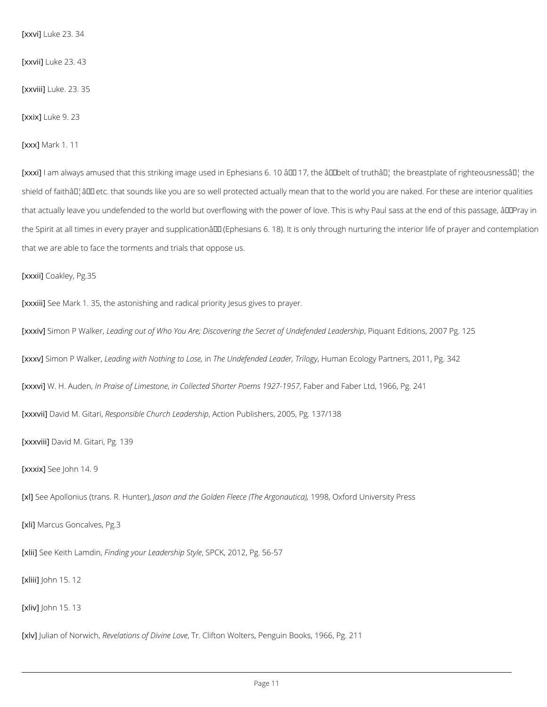$\left[$  x x v iL u k e 23. 34

 $[xxv$ ii  $]$ uke 23. 43

 $\left[$  x x v i i  $\mu$  k e . 23. 35

 $\lceil x x i x \rceil$ uke 9. 23

 $[xx \times M$  ark 1. 11

[xxxil] am always amused that this striking image used in Ephesians 6. 10 â $\epsilon$ " 17, the â $\epsilon$ œbel shield of faithâ $\epsilon$ ¦â $\epsilon$ • etc. that sounds like you are so well protected actually mean that to th that actually leave you undefended to the world but overflowing with the power of love. This the Spirit at all times in every prayer and supplicationâ $\epsilon$  (Ephesians 6. 18). It is only throu that we are able to face the torments and trials that oppose us.

 $[xxxi]$ oakley, Pg.35

[xxxiiS] alger Mark 1.35, the astonishing and radical priority Jesus gives to prayer.

[xxxivS]imon P Wlad kading out of Who You Are; Discovering the SePcinganta of Eldicteiofenscle2d00LeaPdge.rs1h2ig

[xxxvS]imon P Wladkaeling with NothinTghteoULnodseef,ended Le,ableam, aThriElocogy ogy Partners, 2011, Pg. 342

 $[xxxvW]$ . H. Aude $M$ n, aise of Lime $\&$ sotld  $B$ eted Shorter Poems 1927-1957 , Faber Ltd, 1966, Pg. 241

[xxxviD]avid M. Bsetsaprojnsible Church Aloetaid per Blub polishers, 2005, Pg. 137/138

[xxxviDiavid M. Gitari, Pg. 139

 $[xxxi\$ Bee John 14. 9

[xl] See Apollonius (translasRonHaumdeth) e Golden Fleece 1998 e @Argiondaluuthicae), sity Press

[xliMarcus Goncalves, Pg.3

[xliigee Keith LFaimding your Leade SSPhO K, S2011e2, Pg. 56-57

[xlii**j**] ohn 15. 12

[xlivJohn 15. 13

[xlv**J**ulian of NRsewiedhations of DiTvrine Liboton Wolters, Penguin Books, 1966, Pg. 211